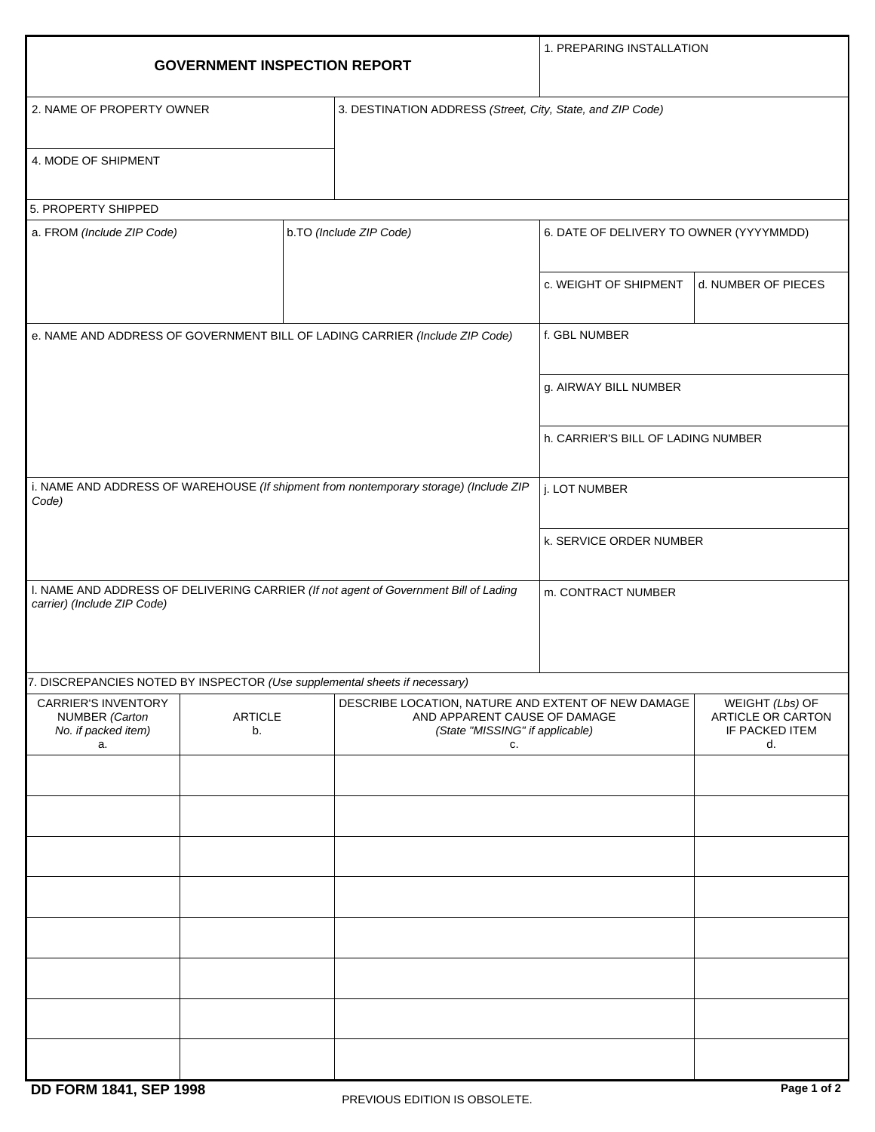|                                                                                                                     | <b>GOVERNMENT INSPECTION REPORT</b> | 1. PREPARING INSTALLATION                                                                                                   |                                         |                                                              |  |  |  |
|---------------------------------------------------------------------------------------------------------------------|-------------------------------------|-----------------------------------------------------------------------------------------------------------------------------|-----------------------------------------|--------------------------------------------------------------|--|--|--|
| 2. NAME OF PROPERTY OWNER                                                                                           |                                     | 3. DESTINATION ADDRESS (Street, City, State, and ZIP Code)                                                                  |                                         |                                                              |  |  |  |
| 4. MODE OF SHIPMENT                                                                                                 |                                     |                                                                                                                             |                                         |                                                              |  |  |  |
| 5. PROPERTY SHIPPED                                                                                                 |                                     |                                                                                                                             |                                         |                                                              |  |  |  |
| a. FROM (Include ZIP Code)                                                                                          |                                     | b.TO (Include ZIP Code)                                                                                                     | 6. DATE OF DELIVERY TO OWNER (YYYYMMDD) |                                                              |  |  |  |
|                                                                                                                     |                                     |                                                                                                                             | c. WEIGHT OF SHIPMENT                   | d. NUMBER OF PIECES                                          |  |  |  |
| e. NAME AND ADDRESS OF GOVERNMENT BILL OF LADING CARRIER (Include ZIP Code)                                         |                                     | f. GBL NUMBER                                                                                                               |                                         |                                                              |  |  |  |
|                                                                                                                     |                                     |                                                                                                                             | g. AIRWAY BILL NUMBER                   |                                                              |  |  |  |
|                                                                                                                     |                                     |                                                                                                                             | h. CARRIER'S BILL OF LADING NUMBER      |                                                              |  |  |  |
| Code)                                                                                                               |                                     | i. NAME AND ADDRESS OF WAREHOUSE (If shipment from nontemporary storage) (Include ZIP                                       | j. LOT NUMBER                           |                                                              |  |  |  |
|                                                                                                                     |                                     |                                                                                                                             | k. SERVICE ORDER NUMBER                 |                                                              |  |  |  |
| I. NAME AND ADDRESS OF DELIVERING CARRIER (If not agent of Government Bill of Lading<br>carrier) (Include ZIP Code) |                                     | m. CONTRACT NUMBER                                                                                                          |                                         |                                                              |  |  |  |
| 7. DISCREPANCIES NOTED BY INSPECTOR (Use supplemental sheets if necessary)                                          |                                     |                                                                                                                             |                                         |                                                              |  |  |  |
| <b>CARRIER'S INVENTORY</b><br>NUMBER (Carton<br>No. if packed item)<br>a.                                           | <b>ARTICLE</b><br>b.                | DESCRIBE LOCATION, NATURE AND EXTENT OF NEW DAMAGE<br>AND APPARENT CAUSE OF DAMAGE<br>(State "MISSING" if applicable)<br>C. |                                         | WEIGHT (Lbs) OF<br>ARTICLE OR CARTON<br>IF PACKED ITEM<br>d. |  |  |  |
|                                                                                                                     |                                     |                                                                                                                             |                                         |                                                              |  |  |  |
|                                                                                                                     |                                     |                                                                                                                             |                                         |                                                              |  |  |  |
|                                                                                                                     |                                     |                                                                                                                             |                                         |                                                              |  |  |  |
|                                                                                                                     |                                     |                                                                                                                             |                                         |                                                              |  |  |  |
|                                                                                                                     |                                     |                                                                                                                             |                                         |                                                              |  |  |  |
|                                                                                                                     |                                     |                                                                                                                             |                                         |                                                              |  |  |  |
|                                                                                                                     |                                     |                                                                                                                             |                                         |                                                              |  |  |  |
|                                                                                                                     |                                     |                                                                                                                             |                                         |                                                              |  |  |  |